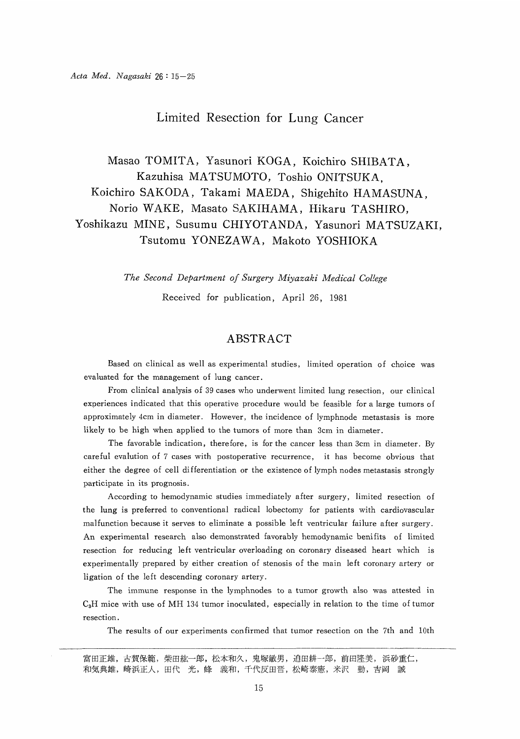# Limited Resection for Lung Cancer

 Masao TOMITA, Yasunori KOGA, Koichiro SHIBATA, Kazuhisa MATSUMOTO, Toshio ONITSUKA, Koichiro SAKODA, Takami MAEDA, Shigehito HAMASUNA, Norio WAKE, Masato SAKIHAMA, Hikaru TASHIRO, Yoshikazu MINE, Susumu CHIYOTANDA, Yasunori MATSUZAKI, Tsutomu YONEZAWA, Makoto YOSHIOKA

The Second Department of Surgery Miyazaki Medical College

Received for publication, April 26, 1981

# ABSTRACT

 Based on clinical as well as experimental studies, limited operation of choice was evaluated for the management of lung cancer.

From clinical analysis of 39 cases who underwent limited lung resection, our clinical experiences indicated that this operative procedure would be feasible for a large tumors of approximately 4cm in diameter. However, the incidence of lymphnode metastasis is more likely to be high when applied to the tumors of more than 3cm in diameter.

The favorable indication, therefore, is for the cancer less than 3cm in diameter. By careful evalution of 7 cases with postoperative recurrence, it has become obvious that either the degree of cell differentiation or the existence of lymph nodes metastasis strongly participate in its prognosis.

According to hemodynamic studies immediately after surgery, limited resection of the lung is preferred to conventional radical lobectomy for patients with cardiovascular malfunction because it serves to eliminate a possible left ventricular failure after surgery. An experimental research also demonstrated favorably hemodynamic benifits of limited resection for reducing left ventricular overloading on coronary diseased heart which is experimentally prepared by either creation of stenosis of the main left coronary artery or ligation of the left descending coronary artery.

The immune response in the lymphnodes to a tumor growth also was attested in  $C_3H$  mice with use of MH 134 tumor inoculated, especially in relation to the time of tumor resection.

The results of our experiments confirmed that tumor resection on the 7th and 10th

富田正雄, 古賀保範, 柴田紘一郎, 松本和久, 鬼塚敏男, 迫田耕一郎, 前田隆美, 浜砂重仁, 和気典雄, 崎浜正人, 田代 光, 峰 義和, 千代反田晋, 松崎泰憲, 米沢 勤, 吉岡 誠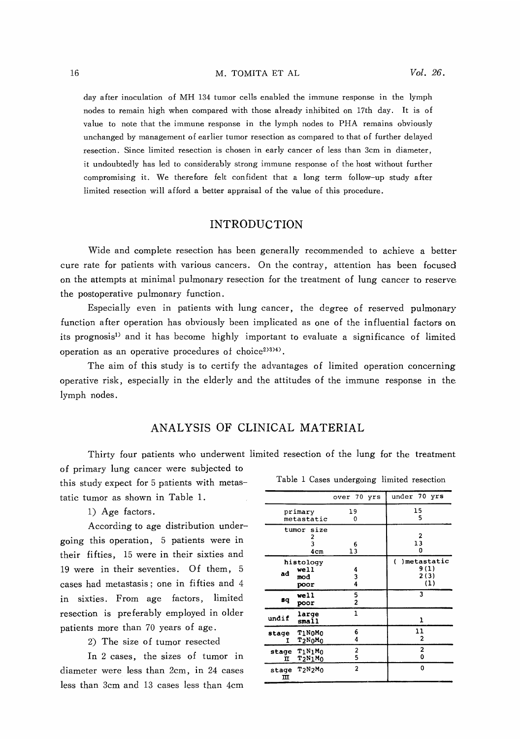#### M. TOMITA ET AL

day after inoculation of MH 134 tumor cells enabled the immune response in the lymph nodes to remain high when compared with those already inhibited on 17th day. It is of value to note that the immune response in the lymph nodes to PHA remains obviously unchanged by management of earlier tumor resection as compared to that of further delayed resection. Since limited resection is chosen in early cancer of less than 3cm in diameter, it undoubtedly has led to considerably strong immune response of the host without further compromising it. We therefore felt confident that a long term follow-up study after limited resection will afford a better appraisal of the value of this procedure.

## INTRODUCTION

Wide and complete resection has been generally recommended to achieve a better cure rate for patients with various cancers. On the contray, attention has been focused on the attempts at minimal pulmonary resection for the treatment of lung cancer to reserve the postoperative pulmonary function.

Especially even in patients with lung cancer, the degree of reserved pulmonary function after operation has obviously been implicated as one of the influential factors on its prognosis') and it has become highly important to evaluate a significance of limited operation as an operative procedures of choice $2^{(33)4}$ .

The aim of this study is to certify the advantages of limited operation concerning operative risk, especially in the elderly and the attitudes of the immune response in the lymph nodes.

### ANALYSIS OF CLINICAL MATERIAL

Thirty four patients who underwent limited resection of the lung for the treatment

of primary lung cancer were subjected to this study expect for 5 patients with metastatic tumor as shown in Table 1.

1) Age factors.

According to age distribution undergoing this operation, 5 patients were in their fifties, 15 were in their sixties and 19 were in their seventies. Of them, 5 cases had metastasis ; one in fifties and 4 in sixties. From age factors, limited resection is preferably employed in older patients more than 70 years of age.

2) The size of tumor resected

In 2 cases, the sizes of tumor in diameter were less than 2cm, in 24 cases less than 3cm and 13 cases less than 4cm

|                                          |                             | over 70 yrs    |                     |                                          |         | under 70 yrs |  |
|------------------------------------------|-----------------------------|----------------|---------------------|------------------------------------------|---------|--------------|--|
| primary<br>metastatic                    | 19<br>0                     |                | 15<br>5             |                                          |         |              |  |
|                                          | tumor size<br>2<br>3<br>4cm |                | 6<br>13             |                                          |         | 2<br>13<br>0 |  |
| histology<br>well<br>ad<br>mod<br>poor   |                             | 4<br>3<br>4    |                     | )metastatic<br>C<br>9 (1)<br>2(3)<br>(1) |         |              |  |
| вq                                       | well<br>poor                |                | 5<br>$\overline{c}$ |                                          |         | 3            |  |
| undif                                    | large<br>small              |                | $\mathbf{1}$        |                                          | ı       |              |  |
| stage<br>т                               | TINOMO<br>$T2N0M0$          |                | 6<br>4              |                                          | 11<br>2 |              |  |
| $T_1N_1M_0$<br>stage<br>$T_2N_1M_0$<br>π |                             | 2<br>5         |                     | 2<br>0                                   |         |              |  |
| T2N2M0<br>stage<br>ш                     |                             | $\overline{2}$ |                     | 0                                        |         |              |  |

Table 1 Cases undergoing limited resection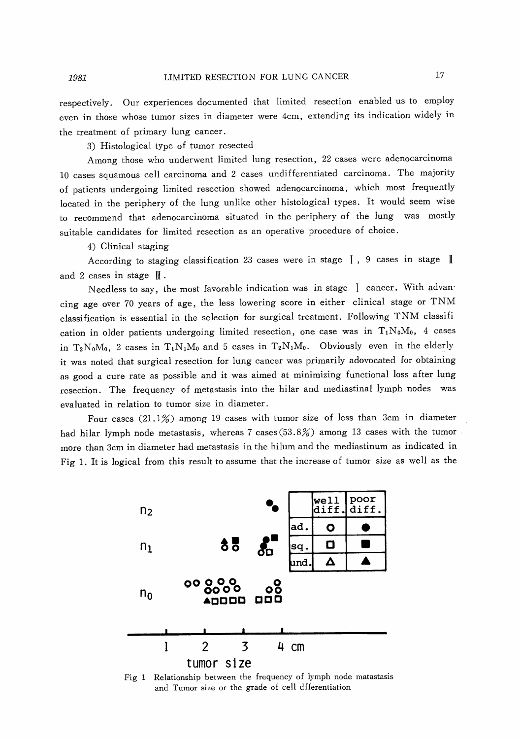respectively. Our experiences documented that limited resection enabled us to employ even in those whose tumor sizes in diameter were 4cm, extending its indication widely in the treatment of primary lung cancer.

3) Histological type of tumor resected

Among those who underwent limited lung resection, 22 cases were adenocarcinoma 10 cases squamous cell carcinoma and 2 cases undifferentiated carcinoma. The majority of patients undergoing limited resection showed adenocarcinoma, which most frequently located in the periphery of the lung unlike other histological types. It would seem wise to recommend that adenocarcinoma situated in the periphery of the lung was mostly suitable candidates for limited resection as an operative procedure of choice.

4) Clinical staging

1981

According to staging classification 23 cases were in stage  $\parallel$ , 9 cases in stage  $\parallel$ and 2 cases in stage  $\parallel$ .

Needless to say, the most favorable indication was in stage I cancer. With advancing age over 70 years of age, the less lowering score in either clinical stage or TNM classification is essential in the selection for surgical treatment. Following TNM classifi cation in older patients undergoing limited resection, one case was in  $T_1N_0M_0$ , 4 cases in  $T_2N_0M_0$ , 2 cases in  $T_1N_1M_0$  and 5 cases in  $T_2N_1M_0$ . Obviously even in the elderly it was noted that surgical resection for lung cancer was primarily adovocated for obtaining as good a cure rate as possible and it was aimed at minimizing functional loss after lung resection. The frequency of metastasis into the hilar and mediastinal lymph nodes was evaluated in relation to tumor size in diameter.

Four cases (21.1%) among 19 cases with tumor size of less than 3cm in diameter had hilar lymph node metastasis, whereas 7 cases (53.8%) among 13 cases with the tumor more than 3cm in diameter had metastasis in the hilum and the mediastinum as indicated in Fig 1. It is logical from this result to assume that the increase of tumor size as well as the



Fig 1 Relationship between the frequency of lymph node matastasis and Tumor size or the grade of cell dfferentiation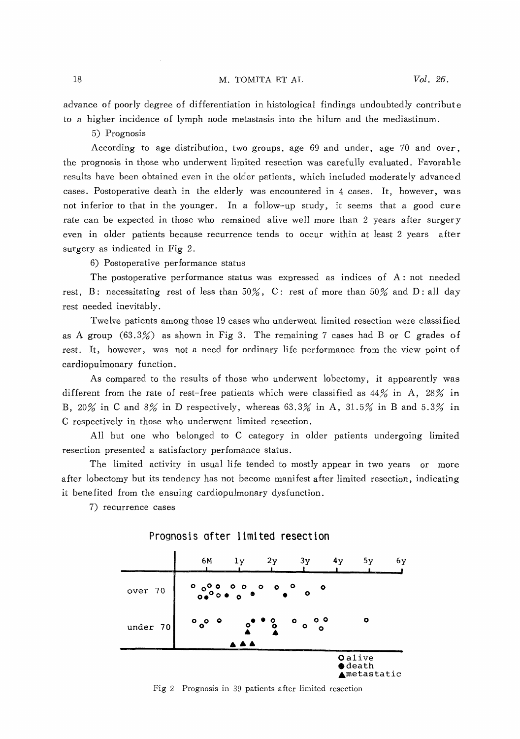#### M. TOMITA ET AL

advance of poorly degree of differentiation in histological findings undoubtedly contribute to a higher incidence of lymph node metastasis into the hilum and the mediastinum.

5) Prognosis

According to age distribution, two groups, age 69 and under, age 70 and over, the prognosis in those who underwent limited resection was carefully evaluated. Favorable results have been obtained even in the older patients, which included moderately advanced cases. Postoperative death in the elderly was encountered in 4 cases. It, however, was not inferior to that in the younger. In a follow-up study, it seems that a good cure rate can be expected in those who remained alive well more than 2 years after surgery even in older patients because recurrence tends to occur within at least 2 years after surgery as indicated in Fig 2.

6) Postoperative performance status

The postoperative performance status was expressed as indices of A : not needed rest, B: necessitating rest of less than  $50\%$ , C: rest of more than  $50\%$  and D: all day rest needed inevitably.

Twelve patients among those 19 cases who underwent limited resection were classified as A group (63.3%) as shown in Fig 3. The remaining 7 cases had B or C grades of rest. It, however, was not a need for ordinary life performance from the view point of cardiopulmonary function.

As compared to the results of those who underwent lobectomy, it appearently was different from the rate of rest-free patients which were classified as  $44\%$  in A,  $28\%$  in B, 20% in C and 8% in D respectively, whereas 63.3% in A, 31.5% in B and 5.3% in C respectively in those who underwent limited resection.

All but one who belonged to C category in older patients undergoing limited resection presented a satisfactory perfomance status.

The limited activity in usual life tended to mostly appear in two years or more after lobectomy but its tendency has not become manifest after limited resection, indicating it benefited from the ensuing cardiopulmonary dysfunction.

7) recurrence cases



### Prognosis after limited resection

Fig 2 Prognosis in 39 patients after limited resection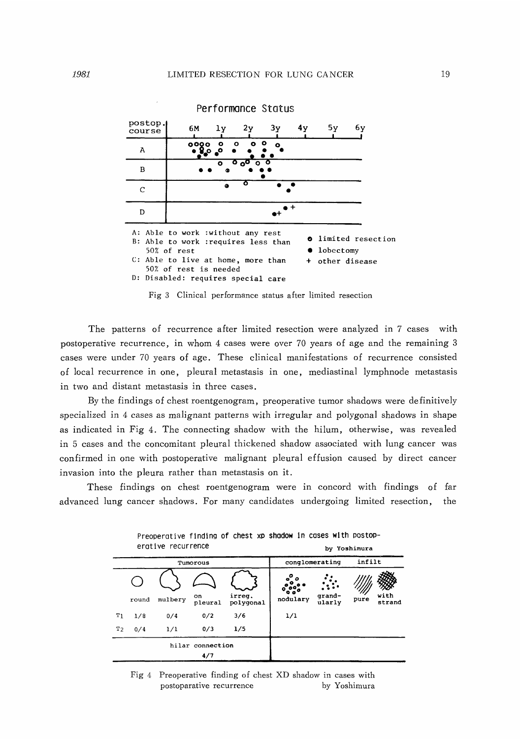

Fig 3 Clinical performance status after limited resection

 The patterns of recurrence after limited resection were analyzed in 7 cases with postoperative recurrence, in whom 4 cases were over 70 years of age and the remaining 3 cases were under 70 years of age. These clinical manifestations of recurrence consisted of local recurrence in one, pleural metastasis in one, mediastinal lymphnode metastasis in two and distant metastasis in three cases.

By the findings of chest roentgenogram, preoperative tumor shadows were definitively specialized in 4 cases as malignant patterns with irregular and polygonal shadows in shape as indicated in Fig 4. The connecting shadow with the hilum, otherwise, was revealed in 5 cases and the concomitant pleural thickened shadow associated with lung cancer was confirmed in one with postoperative malignant pleural effusion caused by direct cancer invasion into the pleura rather than metastasis on it.

These findings on chest roentgenogram were in concord with findings of far advanced lung cancer shadows. For many candidates undergoing limited resection, the

Preoperative finding of chest xp shadow in cases with postop-

| erative recurrence |       |         |               |                     | by Yoshimura       |                  |        |                |  |
|--------------------|-------|---------|---------------|---------------------|--------------------|------------------|--------|----------------|--|
| Tumorous           |       |         |               |                     | conglomerating     |                  | infilt |                |  |
|                    |       |         |               |                     |                    |                  |        |                |  |
|                    | round | mulbery | on<br>pleural | irreq.<br>polygonal | ۰<br>o<br>nodulary | qrand-<br>ularly | pure   | with<br>strand |  |
| Τı                 | 1/8   | 0/4     | 0/2           | 3/6                 | 1/1                |                  |        |                |  |
| T <sub>2</sub>     | 0/4   | 1/1     | 0/3           | 1/5                 |                    |                  |        |                |  |
| hilar connection   |       |         |               |                     |                    |                  |        |                |  |
| 4/7                |       |         |               |                     |                    |                  |        |                |  |

Fig 4 Preoperative finding of chest XD shadow in cases with postoparative recurrence by Yoshimura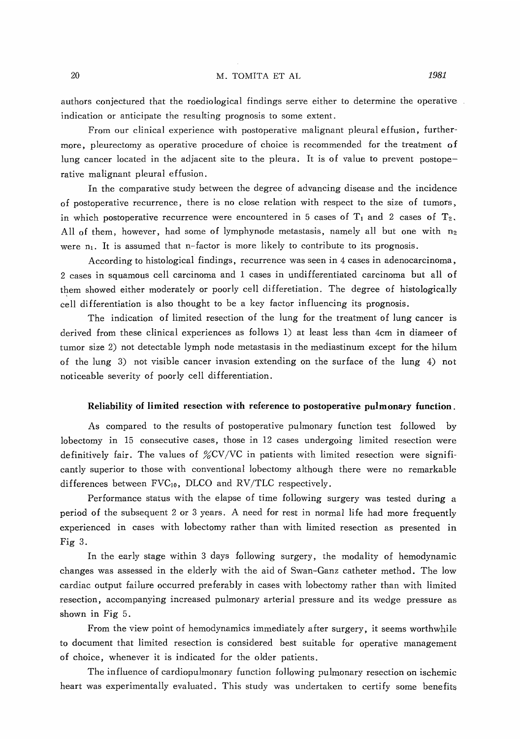authors conjectured that the roediological findings serve either to determine the operative indication or anticipate the resulting prognosis to some extent.

From our clinical experience with postoperative malignant pleural effusion, furthermore, pleurectomy as operative procedure of choice is recommended for the treatment of lung cancer located in the adjacent site to the pleura. It is of value to prevent postoperative malignant pleural effusion.

In the comparative study between the degree of advancing disease and the incidence of postoperative recurrence, there is no close relation with respect to the size of tumors, in which postoperative recurrence were encountered in 5 cases of  $T_1$  and 2 cases of  $T_2$ . All of them, however, had some of lymphynode metastasis, namely all but one with  $n_2$ were  $n_1$ . It is assumed that n-factor is more likely to contribute to its prognosis.

According to histological findings, recurrence was seen in 4 cases in adenocarcinoma, 2 cases in squamous cell carcinoma and 1 cases in undifferentiated carcinoma but all of them showed either moderately or poorly cell differetiation. The degree of histologically cell differentiation is also thought to be a key factor influencing its prognosis.

The indication of limited resection of the lung for the treatment of lung cancer is derived from these clinical experiences as follows 1) at least less than 4cm in diameer of tumor size 2) not detectable lymph node metastasis in the mediastinum except for the hilum of the lung 3) not visible cancer invasion extending on the surface of the lung 4) not noticeable severity of poorly cell differentiation.

### Reliability of limited resection with reference to postoperative pulmonary function.

As compared to the results of postoperative pulmonary function test followed by lobectomy in 15 consecutive cases, those in 12 cases undergoing limited resection were definitively fair. The values of  $\%$ CV/VC in patients with limited resection were significantly superior to those with conventional lobectomy although there were no remarkable differences between  $FVC_{10}$ , DLCO and  $RV/TLC$  respectively.

Performance status with the elapse of time following surgery was tested during a period of the subsequent 2 or 3 years. A need for rest in normal life had more frequently experienced in cases with lobectomy rather than with limited resection as presented in Fig 3.

 In the early stage within 3 days following surgery, the modality of hemodynamic changes was assessed in the elderly with the aid of Swan-Ganz catheter method. The low cardiac output failure occurred preferably in cases with lobectomy rather than with limited resection, accompanying increased pulmonary arterial pressure and its wedge pressure as shown in Fig 5.

From the view point of hemodynamics immediately after surgery, it seems worthwhile to document that limited resection is considered best suitable for operative management of choice, whenever it is indicated for the older patients.

The influence of cardiopulmonary function following pulmonary resection on ischemic heart was experimentally evaluated. This study was undertaken to certify some benefits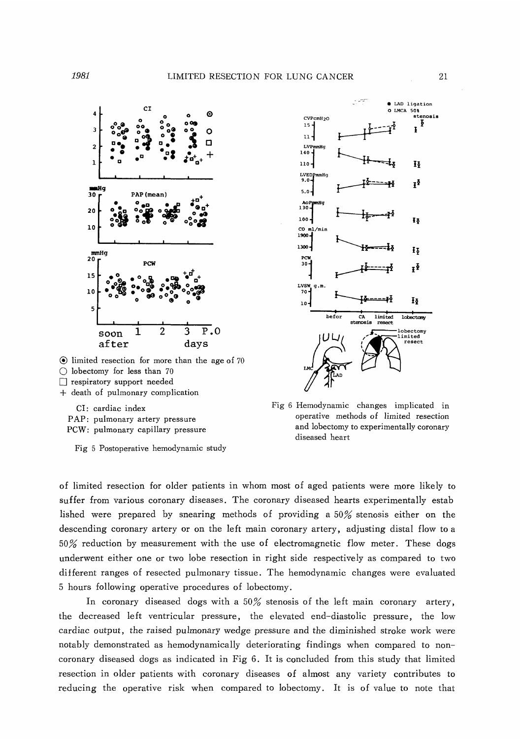

 $\odot$  limited resection for more than the age of 70 O lobectomy for less than 70

- [] respiratory support needed
- + death of pulmonary complication

CI: cardiac index PAP: pulmonary artery pressure PCW: pulmonary capillary pressure

Fig 5 Postoperative hemodynamic study



Fig 6 Hemodynamic changes implicated in operative methods of limited resection and lobectomy to experimentally coronary diseased heart

of limited resection for older patients in whom most of aged patients were more likely to suffer from various coronary diseases. The coronary diseased hearts experimentally estab lished were prepared by snearing methods of providing a 50% stenosis either on the descending coronary artery or on the left main coronary artery, adjusting distal flow to a 50% reduction by measurement with the use of electromagnetic flow meter. These dogs underwent either one or two lobe resection in right side respectively as compared to two different ranges of resected pulmonary tissue. The hemodynamic changes were evaluated 5 hours following operative procedures of lobectomy.

In coronary diseased dogs with a  $50\%$  stenosis of the left main coronary artery, the decreased left ventricular pressure, the elevated end-diastolic pressure, the low cardiac output, the raised pulmonary wedge pressure and the diminished stroke work were notably demonstrated as hemodynamically deteriorating findings when compared to noncoronary diseased dogs as indicated in Fig 6. It is concluded from this study that limited resection in older patients with coronary diseases of almost any variety contributes to reducing the operative risk when compared to lobectomy. It is of value to note that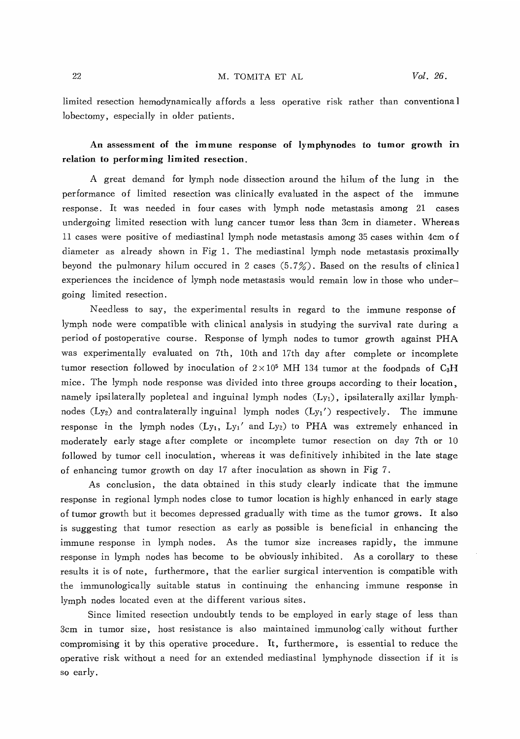limited resection hemodynamically affords a less operative risk rather than conventional lobectomy, especially in older patients.

# An assessment of the immune response of lymphynodes to tumor growth in relation to performing limited resection.

A great demand for lymph node dissection around the hilum of the lung in the performance of limited resection was clinically evaluated in the aspect of the immune response. It was needed in four cases with lymph node metastasis among 21 cases undergoing limited resection with lung cancer tumor less than 3cm in diameter. Whereas 11 cases were positive of mediastinal lymph node metastasis among 35 cases within 4cm of diameter as already shown in Fig 1. The mediastinal lymph node metastasis proximally beyond the pulmonary hilum occured in 2 cases (5.7%). Based on the results of clinical experiences the incidence of lymph node metastasis would remain low in those who undergoing limited resection.

Needless to say, the experimental results in regard to the immune response of lymph node were compatible with clinical analysis in studying the survival rate during a period of postoperative course. Response of lymph nodes to tumor growth against PHA was experimentally evaluated on 7th, 10th and 17th day after complete or incomplete tumor resection followed by inoculation of  $2 \times 10^5$  MH 134 tumor at the foodpads of C<sub>3</sub>H mice. The lymph node response was divided into three groups according to their location, namely ipsilaterally popleteal and inguinal lymph nodes  $(L_{y1})$ , ipsilaterally axillar lymphnodes  $(Ly_2)$  and contralaterally inguinal lymph nodes  $(Ly_1')$  respectively. The immune response in the lymph nodes  $(Ly_1, Ly_1)$  and  $Ly_2$ ) to PHA was extremely enhanced in moderately early stage after complete or incomplete tumor resection on day 7th or 10 followed by tumor cell inoculation, whereas it was definitively inhibited in the late stage of enhancing tumor growth on day 17 after inoculation as shown in Fig 7.

As conclusion, the data obtained in this study clearly indicate that the immune response in regional lymph nodes close to tumor location is highly enhanced in early stage of tumor growth but it becomes depressed gradually with time as the tumor grows. It also is suggesting that tumor resection as early as possible is beneficial in enhancing the immune response in lymph nodes. As the tumor size increases rapidly, the immune response in lymph nodes has become to be obviously inhibited. As a corollary to these results it is of note, furthermore, that the earlier surgical intervention is compatible with the immunologically suitable status in continuing the enhancing immune response in lymph nodes located even at the different various sites.

Since limited resection undoubtly tends to be employed in early stage of less than 3cm in tumor size, host resistance is also maintained immunologically without further compromising it by this operative procedure. It, furthermore, is essential to reduce the operative risk without a need for an extended mediastinal lymphynode dissection if it is so early.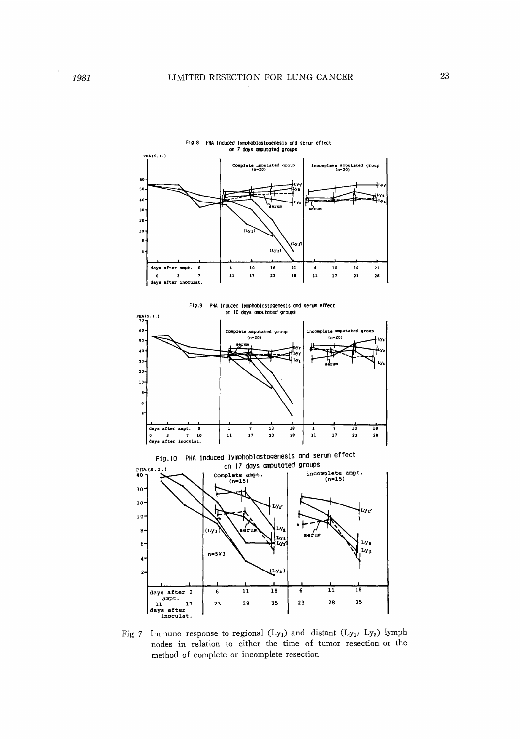





Fig 7 Immune response to regional  $(Ly_1)$  and distant  $(Ly_1, Ly_2)$  lymph nodes in relation to either the time of tumor resection or the method of complete or incomplete resection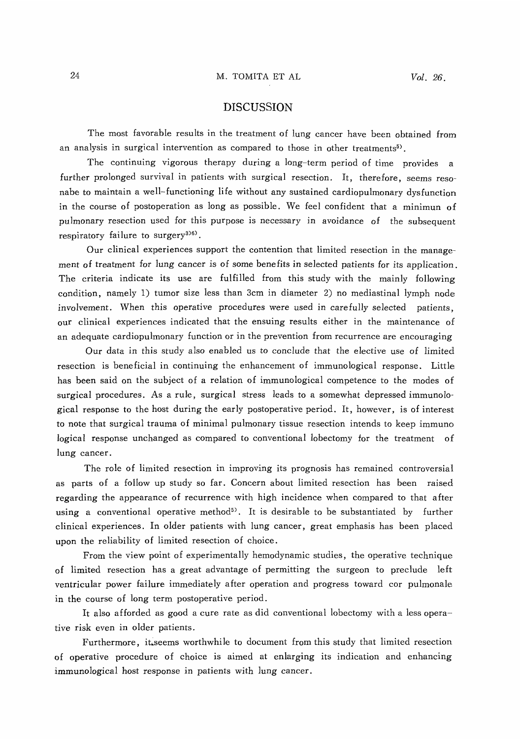## DISCUSSION

The most favorable results in the treatment of lung cancer have been obtained from an analysis in surgical intervention as compared to those in other treatments<sup>5)</sup>.

The continuing vigorous therapy during a long-term period of time provides a further prolonged survival in patients with surgical resection. It, therefore, seems resonabe to maintain a well-functioning life without any sustained cardiopulmonary dysfunction in the course of postoperation as long as possible. We feel confident that a minimun of pulmonary resection used for this purpose is necessary in avoidance of the subsequent respiratory failure to surgery $^{306}$ .

Our clinical experiences support the contention that limited resection in the management of treatment for lung cancer is of some benefits in selected patients for its application. The criteria indicate its use are fulfilled from this study with the mainly following condition, namely 1) tumor size less than 3cm in diameter 2) no mediastinal lymph node involvement. When this operative procedures were used in carefully selected patients, our clinical experiences indicated that the ensuing results either in the maintenance of an adequate cardiopulmonary function or in the prevention from recurrence are encouraging

Our data in this study also enabled us to conclude that the elective use of limited resection is beneficial in continuing the enhancement of immunological response. Little has been said on the subject of a relation of immunological competence to the modes of surgical procedures. As a rule, surgical stress leads to a somewhat depressed immunological response to the host during the early postoperative period. It, however, is of interest to note that surgical trauma of minimal pulmonary tissue resection intends to keep immuno logical response unchanged as compared to conventional lobectomy for the treatment of lung cancer.

 The role of limited resection in improving its prognosis has remained controversial as parts of a follow up study so far. Concern about limited resection has been raised regarding the appearance of recurrence with high incidence when compared to that after using a conventional operative method<sup>5</sup>). It is desirable to be substantiated by further clinical experiences. In older patients with lung cancer, great emphasis has been placed upon the reliability of limited resection of choice.

From the view point of experimentally hemodynamic studies, the operative technique of limited resection has a great advantage of permitting the surgeon to preclude left ventricular power failure immediately after operation and progress toward cor pulmonale in the course of long term postoperative period.

It also afforded as good a cure rate as did conventional lobectomy with a less operative risk even in older patients.

Furthermore, it;seems worthwhile to document from this study that limited resection of operative procedure of choice is aimed at enlarging its indication and enhancing immunological host response in patients with lung cancer.